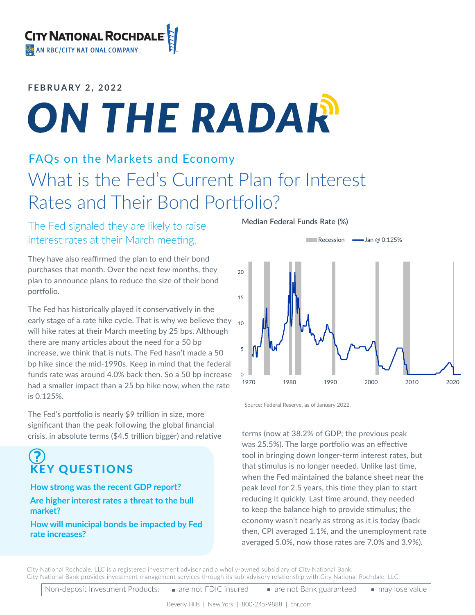### **FEBRUARY 2, 2022**

# ON THE RADAR

### FAQs on the Markets and Economy What is the Fed's Current Plan for Interest Rates and Their Bond Portfolio?

### The Fed signaled they are likely to raise interest rates at their March meeting.

They have also reaffirmed the plan to end their bond purchases that month. Over the next few months, they plan to announce plans to reduce the size of their bond portfolio.

The Fed has historically played it conservatively in the early stage of a rate hike cycle. That is why we believe they  $\,$   $_{10}$ will hike rates at their March meeting by 25 bps. Although there are many articles about the need for a 50 bp increase, we think that is nuts. The Fed hasn't made a 50 bp hike since the mid-1990s. Keep in mind that the federal funds rate was around 4.0% back then. So a 50 bp increase had a smaller impact than a 25 bp hike now, when the rate is 0.125%.

The Fed's portfolio is nearly \$9 trillion in size, more significant than the peak following the global financial crisis, in absolute terms (\$4.5 trillion bigger) and relative

## KEY QUESTIONS

#### **How strong was the recent GDP report?**

### **Are higher interest rates a threat to the bull market?**

**How will municipal bonds be impacted by Fed rate increases?**

**Median Federal Funds Rate (%)**



Source: Federal Reserve, as of January 2022.

terms (now at 38.2% of GDP; the previous peak was 25.5%). The large portfolio was an effective tool in bringing down longer-term interest rates, but that stimulus is no longer needed. Unlike last time, when the Fed maintained the balance sheet near the peak level for 2.5 years, this time they plan to start reducing it quickly. Last time around, they needed to keep the balance high to provide stimulus; the economy wasn't nearly as strong as it is today (back then, CPI averaged 1.1%, and the unemployment rate averaged 5.0%, now those rates are 7.0% and 3.9%).

City National Rochdale, LLC is a registered investment advisor and a wholly-owned subsidiary of City National Bank. City National Bank provides investment management services through its sub-advisory relationship with City National Rochdale, LLC.

Non-deposit Investment Products: are not FDIC insured are not Bank guaranteed may lose value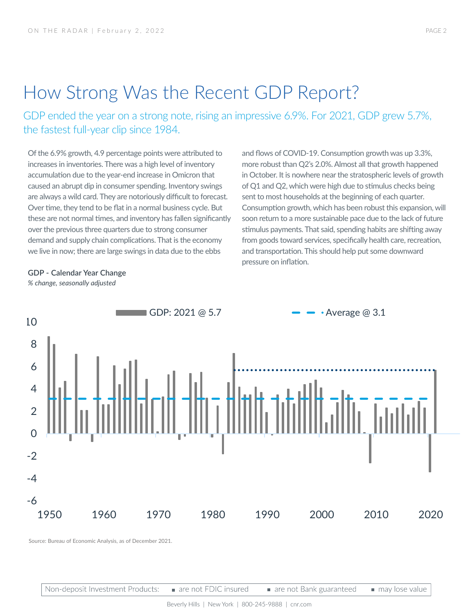### How Strong Was the Recent GDP Report?

GDP ended the year on a strong note, rising an impressive 6.9%. For 2021, GDP grew 5.7%, the fastest full-year clip since 1984.

Of the 6.9% growth, 4.9 percentage points were attributed to increases in inventories. There was a high level of inventory accumulation due to the year-end increase in Omicron that caused an abrupt dip in consumer spending. Inventory swings are always a wild card. They are notoriously difficult to forecast. Over time, they tend to be flat in a normal business cycle. But these are not normal times, and inventory has fallen significantly over the previous three quarters due to strong consumer demand and supply chain complications. That is the economy we live in now; there are large swings in data due to the ebbs

and flows of COVID-19. Consumption growth was up 3.3%, more robust than Q2's 2.0%. Almost all that growth happened in October. It is nowhere near the stratospheric levels of growth of Q1 and Q2, which were high due to stimulus checks being sent to most households at the beginning of each quarter. Consumption growth, which has been robust this expansion, will soon return to a more sustainable pace due to the lack of future stimulus payments. That said, spending habits are shifting away from goods toward services, specifically health care, recreation, and transportation. This should help put some downward pressure on inflation.

**GDP - Calendar Year Change** *% change, seasonally adjusted* 



Source: Bureau of Economic Analysis, as of December 2021.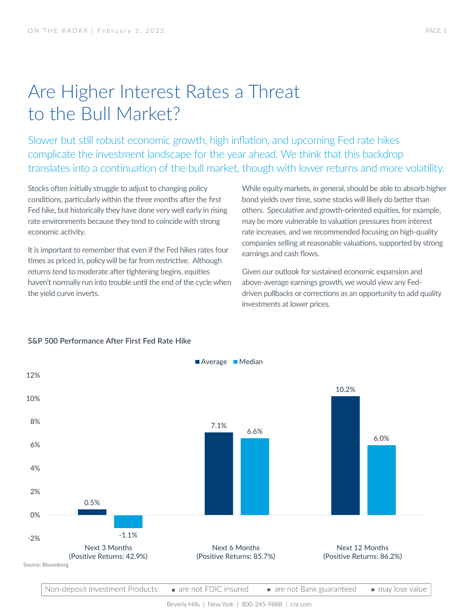### Are Higher Interest Rates a Threat to the Bull Market?

Slower but still robust economic growth, high inflation, and upcoming Fed rate hikes complicate the investment landscape for the year ahead. We think that this backdrop translates into a continuation of the bull market, though with lower returns and more volatility.

Stocks often initially struggle to adjust to changing policy conditions, particularly within the three months after the first Fed hike, but historically they have done very well early in rising rate environments because they tend to coincide with strong economic activity.

It is important to remember that even if the Fed hikes rates four times as priced in, policy will be far from restrictive. Although returns tend to moderate after tightening begins, equities haven't normally run into trouble until the end of the cycle when the yield curve inverts.

While equity markets, in general, should be able to absorb higher bond yields over time, some stocks will likely do better than others. Speculative and growth-oriented equities, for example, may be more vulnerable to valuation pressures from interest rate increases, and we recommended focusing on high-quality companies selling at reasonable valuations, supported by strong earnings and cash flows.

Given our outlook for sustained economic expansion and above-average earnings growth, we would view any Feddriven pullbacks or corrections as an opportunity to add quality investments at lower prices.



#### **S&P 500 Performance After First Fed Rate Hike**

Non-deposit Investment Products: are not FDIC insured are not Bank guaranteed may lose value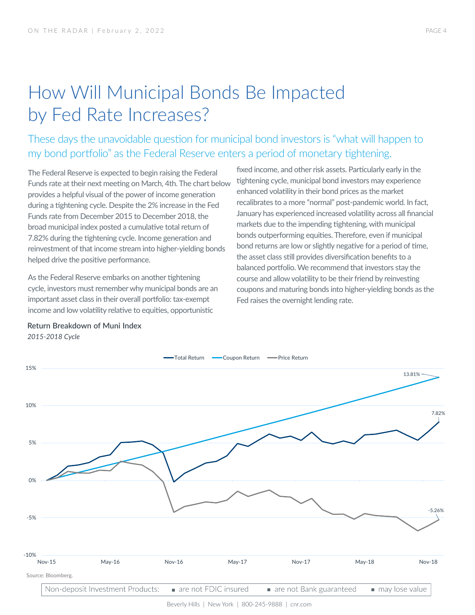### How Will Municipal Bonds Be Impacted by Fed Rate Increases?

These days the unavoidable question for municipal bond investors is "what will happen to my bond portfolio" as the Federal Reserve enters a period of monetary tightening.

The Federal Reserve is expected to begin raising the Federal Funds rate at their next meeting on March, 4th. The chart below provides a helpful visual of the power of income generation during a tightening cycle. Despite the 2% increase in the Fed Funds rate from December 2015 to December 2018, the broad municipal index posted a cumulative total return of 7.82% during the tightening cycle. Income generation and reinvestment of that income stream into higher-yielding bonds helped drive the positive performance.

As the Federal Reserve embarks on another tightening cycle, investors must remember why municipal bonds are an important asset class in their overall portfolio: tax-exempt income and low volatility relative to equities, opportunistic

fixed income, and other risk assets. Particularly early in the tightening cycle, municipal bond investors may experience enhanced volatility in their bond prices as the market recalibrates to a more "normal" post-pandemic world. In fact, January has experienced increased volatility across all financial markets due to the impending tightening, with municipal bonds outperforming equities. Therefore, even if municipal bond returns are low or slightly negative for a period of time, the asset class still provides diversification benefits to a balanced portfolio. We recommend that investors stay the course and allow volatility to be their friend by reinvesting coupons and maturing bonds into higher-yielding bonds as the Fed raises the overnight lending rate.



### *2015-2018 Cycle*

**Return Breakdown of Muni Index**

Beverly Hills | New York | 800-245-9888 | cnr.com